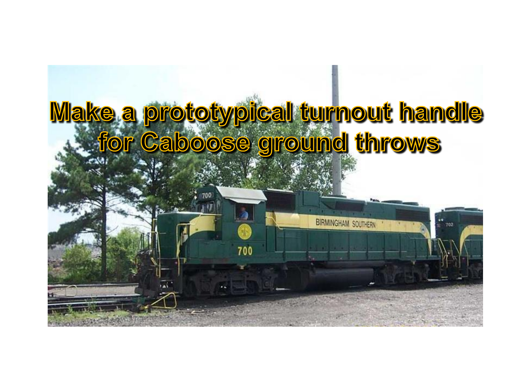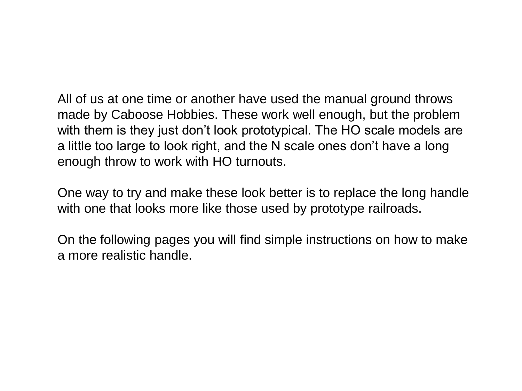All of us at one time or another have used the manual ground throws made by Caboose Hobbies. These work well enough, but the problem with them is they just don't look prototypical. The HO scale models are a little too large to look right, and the N scale ones don't have a long enough throw to work with HO turnouts.

One way to try and make these look better is to replace the long handle with one that looks more like those used by prototype railroads.

On the following pages you will find simple instructions on how to make a more realistic handle.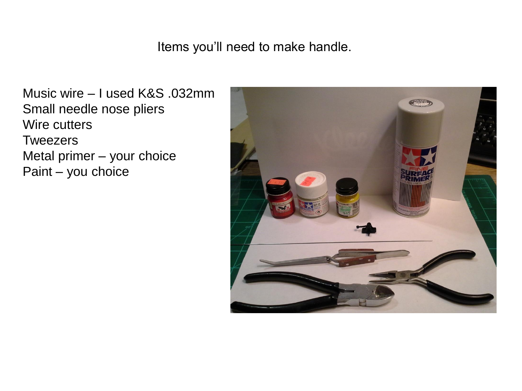Items you'll need to make handle.

Music wire – I used K&S .032mm Small needle nose pliers Wire cutters **Tweezers** Metal primer – your choice Paint – you choice

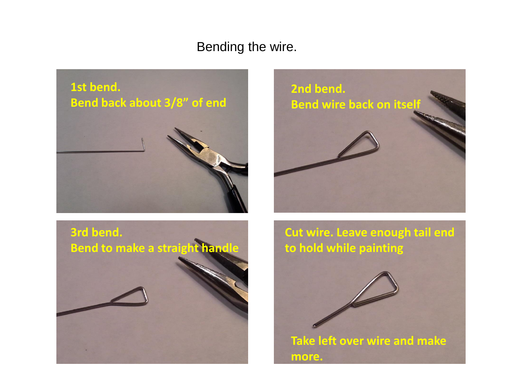### Bending the wire.

# **1st bend. Bend back about 3/8" of end**







### **Cut wire. Leave enough tail end to hold while painting**



**Take left over wire and make more.**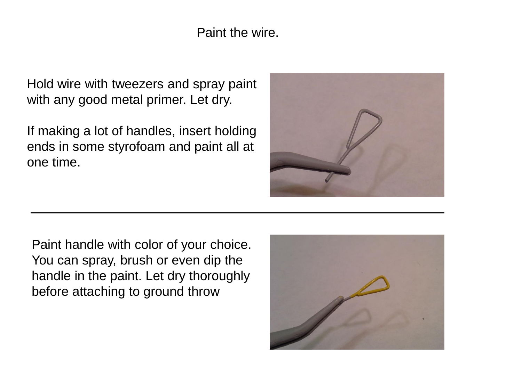Paint the wire.

Hold wire with tweezers and spray paint with any good metal primer. Let dry.

If making a lot of handles, insert holding ends in some styrofoam and paint all at one time.



Paint handle with color of your choice. You can spray, brush or even dip the handle in the paint. Let dry thoroughly before attaching to ground throw

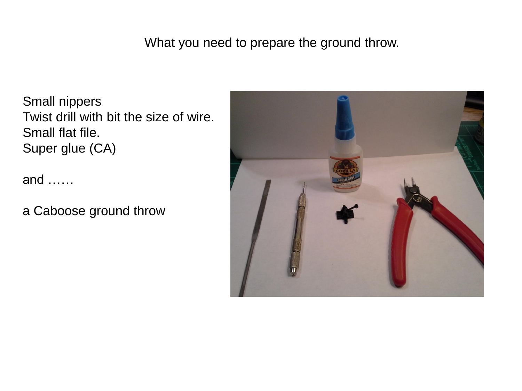What you need to prepare the ground throw.

Small nippers Twist drill with bit the size of wire. Small flat file. Super glue (CA)

and ……

a Caboose ground throw

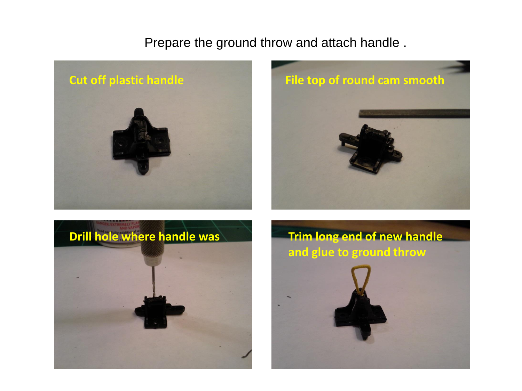### Prepare the ground throw and attach handle .